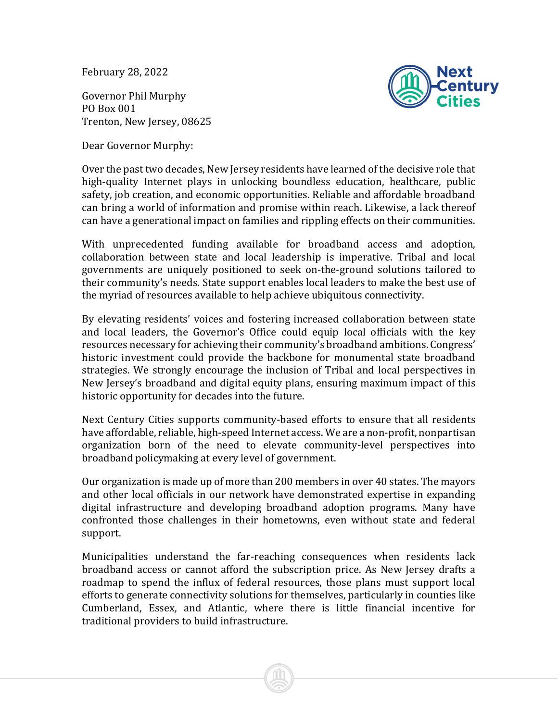February 28, 2022

Governor Phil Murphy PO Box 001 Trenton, New Jersey, 08625

Dear Governor Murphy:



Over the past two decades, New Jersey residents have learned of the decisive role that high-quality Internet plays in unlocking boundless education, healthcare, public safety, job creation, and economic opportunities. Reliable and affordable broadband can bring a world of information and promise within reach. Likewise, a lack thereof can have a generational impact on families and rippling effects on their communities.

With unprecedented funding available for broadband access and adoption, collaboration between state and local leadership is imperative. Tribal and local governments are uniquely positioned to seek on-the-ground solutions tailored to their community's needs. State support enables local leaders to make the best use of the myriad of resources available to help achieve ubiquitous connectivity.

By elevating residents' voices and fostering increased collaboration between state and local leaders, the Governor's Office could equip local officials with the key resources necessary for achieving their community's broadband ambitions. Congress' historic investment could provide the backbone for monumental state broadband strategies. We strongly encourage the inclusion of Tribal and local perspectives in New Jersey's broadband and digital equity plans, ensuring maximum impact of this historic opportunity for decades into the future.

Next Century Cities supports community-based efforts to ensure that all residents have affordable, reliable, high-speed Internet access. We are a non-profit, nonpartisan organization born of the need to elevate community-level perspectives into broadband policymaking at every level of government.

Our organization is made up of more than 200 members in over 40 states. The mayors and other local officials in our network have demonstrated expertise in expanding digital infrastructure and developing broadband adoption programs. Many have confronted those challenges in their hometowns, even without state and federal support.

Municipalities understand the far-reaching consequences when residents lack broadband access or cannot afford the subscription price. As New Jersey drafts a roadmap to spend the influx of federal resources, those plans must support local efforts to generate connectivity solutions for themselves, particularly in counties like Cumberland, Essex, and Atlantic, where there is little financial incentive for traditional providers to build infrastructure.